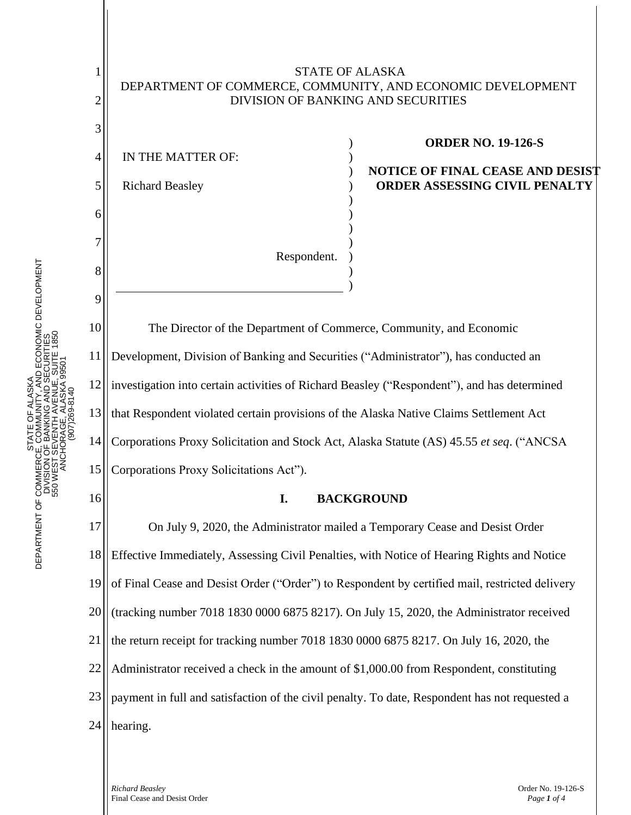

10 11 12 13 14 15 The Director of the Department of Commerce, Community, and Economic Development, Division of Banking and Securities ("Administrator"), has conducted an investigation into certain activities of Richard Beasley ("Respondent"), and has determined that Respondent violated certain provisions of the Alaska Native Claims Settlement Act Corporations Proxy Solicitation and Stock Act, Alaska Statute (AS) 45.55 *et seq*. ("ANCSA Corporations Proxy Solicitations Act").

## **I. BACKGROUND**

17 18 19 20 21 22 23 24 On July 9, 2020, the Administrator mailed a Temporary Cease and Desist Order Effective Immediately, Assessing Civil Penalties, with Notice of Hearing Rights and Notice of Final Cease and Desist Order ("Order") to Respondent by certified mail, restricted delivery (tracking number 7018 1830 0000 6875 8217). On July 15, 2020, the Administrator received the return receipt for tracking number 7018 1830 0000 6875 8217. On July 16, 2020, the Administrator received a check in the amount of \$1,000.00 from Respondent, constituting payment in full and satisfaction of the civil penalty. To date, Respondent has not requested a hearing.

STATE OF ALASK DEPARTMENT OF COMMERCE, COMMUNITY, AND ECONOMIC DEVELOPMENT DIVISION OF BANKING AND SECURITI 550 WEST SEVENTH AVENUE, SUITE 1850 ANCHORAGE, ALASKA 995 PHONE: (907) 269-8140 STATE OF ALASKA DEPARTMENT OF COMMERCE, COMMUNITY, AND ECONOMIC DEVELOPMENT DIVISION OF BANKING AND SECURITIES 550 WEST SEVENTH AVENUE, SUITE 1850 ANCHORAGE, ALASKA 99501 (907)269-8140

16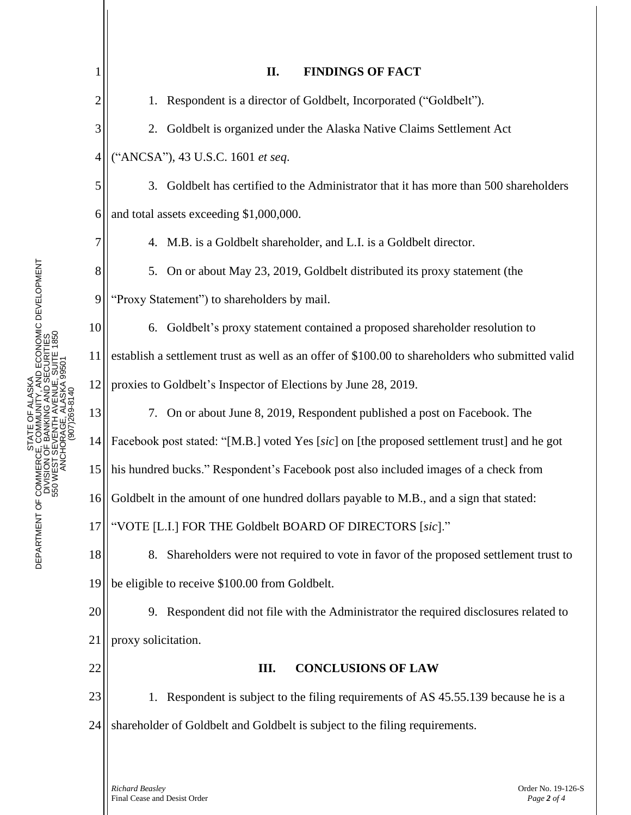| 1              | II.<br><b>FINDINGS OF FACT</b>                                                                   |
|----------------|--------------------------------------------------------------------------------------------------|
| $\overline{c}$ | Respondent is a director of Goldbelt, Incorporated ("Goldbelt").<br>1.                           |
| 3              | Goldbelt is organized under the Alaska Native Claims Settlement Act<br>2.                        |
| $\overline{4}$ | ("ANCSA"), 43 U.S.C. 1601 et seq.                                                                |
| 5              | 3. Goldbelt has certified to the Administrator that it has more than 500 shareholders            |
| 6              | and total assets exceeding \$1,000,000.                                                          |
| 7              | 4. M.B. is a Goldbelt shareholder, and L.I. is a Goldbelt director.                              |
| 8              | On or about May 23, 2019, Goldbelt distributed its proxy statement (the<br>5.                    |
| 9              | "Proxy Statement") to shareholders by mail.                                                      |
| 10             | 6. Goldbelt's proxy statement contained a proposed shareholder resolution to                     |
| 11             | establish a settlement trust as well as an offer of \$100.00 to shareholders who submitted valid |
| 12             | proxies to Goldbelt's Inspector of Elections by June 28, 2019.                                   |
| 13             | 7. On or about June 8, 2019, Respondent published a post on Facebook. The                        |
| 14             | Facebook post stated: "[M.B.] voted Yes [sic] on [the proposed settlement trust] and he got      |
| 15             | his hundred bucks." Respondent's Facebook post also included images of a check from              |
| 16             | Goldbelt in the amount of one hundred dollars payable to M.B., and a sign that stated:           |
| 17             | "VOTE [L.I.] FOR THE Goldbelt BOARD OF DIRECTORS [sic]."                                         |
| 18             | 8. Shareholders were not required to vote in favor of the proposed settlement trust to           |
| 19             | be eligible to receive \$100.00 from Goldbelt.                                                   |
| 20             | 9. Respondent did not file with the Administrator the required disclosures related to            |
| 21             | proxy solicitation.                                                                              |
| 22             | <b>CONCLUSIONS OF LAW</b><br>Ш.                                                                  |
| 23             | Respondent is subject to the filing requirements of AS 45.55.139 because he is a<br>1.           |
| 24             | shareholder of Goldbelt and Goldbelt is subject to the filing requirements.                      |
|                |                                                                                                  |
|                | Richard Beasley<br>Order No. 19-126-S                                                            |

II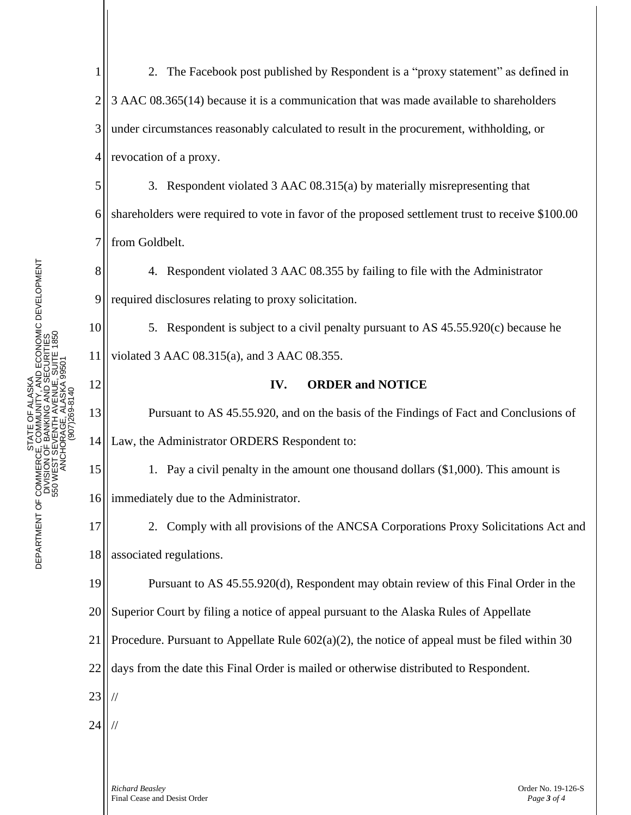10

11

12

13

14

15

16

1 2 3 4 2. The Facebook post published by Respondent is a "proxy statement" as defined in 3 AAC 08.365(14) because it is a communication that was made available to shareholders under circumstances reasonably calculated to result in the procurement, withholding, or revocation of a proxy.

5 6 7 3. Respondent violated 3 AAC 08.315(a) by materially misrepresenting that shareholders were required to vote in favor of the proposed settlement trust to receive \$100.00 from Goldbelt.

8 9 4. Respondent violated 3 AAC 08.355 by failing to file with the Administrator required disclosures relating to proxy solicitation.

5. Respondent is subject to a civil penalty pursuant to AS 45.55.920(c) because he violated 3 AAC 08.315(a), and 3 AAC 08.355.

## **IV. ORDER and NOTICE**

Pursuant to AS 45.55.920, and on the basis of the Findings of Fact and Conclusions of Law, the Administrator ORDERS Respondent to:

1. Pay a civil penalty in the amount one thousand dollars (\$1,000). This amount is immediately due to the Administrator.

17 18 2. Comply with all provisions of the ANCSA Corporations Proxy Solicitations Act and associated regulations.

19 Pursuant to AS 45.55.920(d), Respondent may obtain review of this Final Order in the

20 Superior Court by filing a notice of appeal pursuant to the Alaska Rules of Appellate

21 Procedure. Pursuant to Appellate Rule  $602(a)(2)$ , the notice of appeal must be filed within 30

22 days from the date this Final Order is mailed or otherwise distributed to Respondent.

23 //

24 //

> *Richard Beasley* Order No. 19-126-S Final Cease and Desist Order *Page 3 of 4*